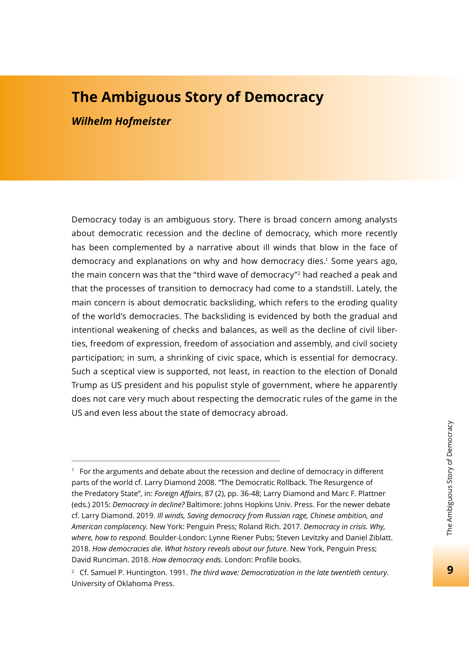# **The Ambiguous Story of Democracy** *Wilhelm Hofmeister*

Democracy today is an ambiguous story. There is broad concern among analysts about democratic recession and the decline of democracy, which more recently has been complemented by a narrative about ill winds that blow in the face of democracy and explanations on why and how democracy dies.1 Some years ago, the main concern was that the "third wave of democracy"2 had reached a peak and that the processes of transition to democracy had come to a standstill. Lately, the main concern is about democratic backsliding, which refers to the eroding quality of the world's democracies. The backsliding is evidenced by both the gradual and intentional weakening of checks and balances, as well as the decline of civil liberties, freedom of expression, freedom of association and assembly, and civil society participation; in sum, a shrinking of civic space, which is essential for democracy. Such a sceptical view is supported, not least, in reaction to the election of Donald Trump as US president and his populist style of government, where he apparently does not care very much about respecting the democratic rules of the game in the US and even less about the state of democracy abroad.

 $1$  For the arguments and debate about the recession and decline of democracy in different parts of the world cf. Larry Diamond 2008. "The Democratic Rollback. The Resurgence of the Predatory State", in: *Foreign Affairs*, 87 (2), pp. 36-48; Larry Diamond and Marc F. Plattner (eds.) 2015: *Democracy in decline?* Baltimore: Johns Hopkins Univ. Press. For the newer debate cf. Larry Diamond. 2019. *Ill winds, Saving democracy from Russian rage, Chinese ambition, and American complacency.* New York: Penguin Press; Roland Rich. 2017. *Democracy in crisis. Why, where, how to respond.* Boulder-London: Lynne Riener Pubs; Steven Levitzky and Daniel Ziblatt. 2018. *How democracies die. What history reveals about our future.* New York, Penguin Press; David Runciman. 2018. *How democracy ends*. London: Profile books.

<sup>2</sup> Cf. Samuel P. Huntington. 1991. *The third wave: Democratization in the late twentieth century*. University of Oklahoma Press.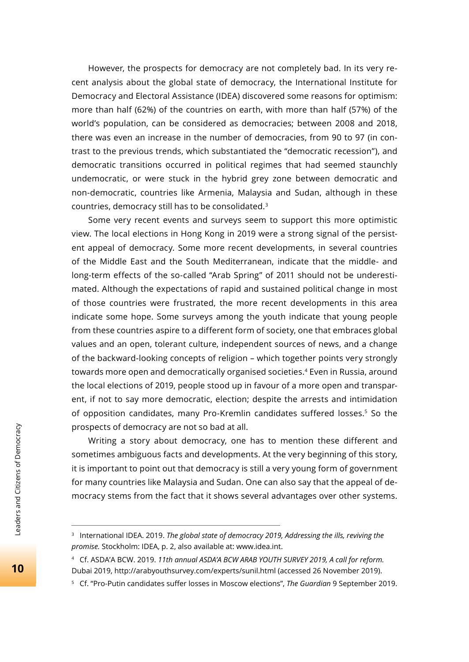However, the prospects for democracy are not completely bad. In its very recent analysis about the global state of democracy, the International Institute for Democracy and Electoral Assistance (IDEA) discovered some reasons for optimism: more than half (62%) of the countries on earth, with more than half (57%) of the world's population, can be considered as democracies; between 2008 and 2018, there was even an increase in the number of democracies, from 90 to 97 (in contrast to the previous trends, which substantiated the "democratic recession"), and democratic transitions occurred in political regimes that had seemed staunchly undemocratic, or were stuck in the hybrid grey zone between democratic and non-democratic, countries like Armenia, Malaysia and Sudan, although in these countries, democracy still has to be consolidated.3

Some very recent events and surveys seem to support this more optimistic view. The local elections in Hong Kong in 2019 were a strong signal of the persistent appeal of democracy. Some more recent developments, in several countries of the Middle East and the South Mediterranean, indicate that the middle- and long-term effects of the so-called "Arab Spring" of 2011 should not be underestimated. Although the expectations of rapid and sustained political change in most of those countries were frustrated, the more recent developments in this area indicate some hope. Some surveys among the youth indicate that young people from these countries aspire to a different form of society, one that embraces global values and an open, tolerant culture, independent sources of news, and a change of the backward-looking concepts of religion – which together points very strongly towards more open and democratically organised societies.<sup>4</sup> Even in Russia, around the local elections of 2019, people stood up in favour of a more open and transparent, if not to say more democratic, election; despite the arrests and intimidation of opposition candidates, many Pro-Kremlin candidates suffered losses.5 So the prospects of democracy are not so bad at all.

Writing a story about democracy, one has to mention these different and sometimes ambiguous facts and developments. At the very beginning of this story, it is important to point out that democracy is still a very young form of government for many countries like Malaysia and Sudan. One can also say that the appeal of democracy stems from the fact that it shows several advantages over other systems.

<sup>&</sup>lt;sup>3</sup> International IDEA. 2019. *The global state of democracy 2019, Addressing the ills, reviving the promise.* Stockholm: IDEA, p. 2, also available at: www.idea.int.

<sup>4</sup> Cf. ASDA'A BCW. 2019. *11th annual ASDA'A BCW ARAB YOUTH SURVEY 2019, A call for reform.* Dubai 2019, http://arabyouthsurvey.com/experts/sunil.html (accessed 26 November 2019).

<sup>&</sup>lt;sup>5</sup> Cf. "Pro-Putin candidates suffer losses in Moscow elections", *The Guardian* 9 September 2019.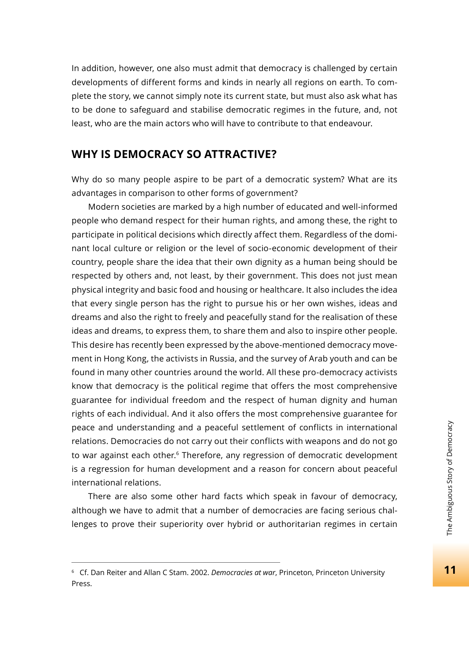In addition, however, one also must admit that democracy is challenged by certain developments of different forms and kinds in nearly all regions on earth. To complete the story, we cannot simply note its current state, but must also ask what has to be done to safeguard and stabilise democratic regimes in the future, and, not least, who are the main actors who will have to contribute to that endeavour.

#### **WHY IS DEMOCRACY SO ATTRACTIVE?**

Why do so many people aspire to be part of a democratic system? What are its advantages in comparison to other forms of government?

Modern societies are marked by a high number of educated and well-informed people who demand respect for their human rights, and among these, the right to participate in political decisions which directly affect them. Regardless of the dominant local culture or religion or the level of socio-economic development of their country, people share the idea that their own dignity as a human being should be respected by others and, not least, by their government. This does not just mean physical integrity and basic food and housing or healthcare. It also includes the idea that every single person has the right to pursue his or her own wishes, ideas and dreams and also the right to freely and peacefully stand for the realisation of these ideas and dreams, to express them, to share them and also to inspire other people. This desire has recently been expressed by the above-mentioned democracy movement in Hong Kong, the activists in Russia, and the survey of Arab youth and can be found in many other countries around the world. All these pro-democracy activists know that democracy is the political regime that offers the most comprehensive guarantee for individual freedom and the respect of human dignity and human rights of each individual. And it also offers the most comprehensive guarantee for peace and understanding and a peaceful settlement of conflicts in international relations. Democracies do not carry out their conflicts with weapons and do not go to war against each other.<sup>6</sup> Therefore, any regression of democratic development is a regression for human development and a reason for concern about peaceful international relations.

There are also some other hard facts which speak in favour of democracy, although we have to admit that a number of democracies are facing serious challenges to prove their superiority over hybrid or authoritarian regimes in certain

<sup>6</sup> Cf. Dan Reiter and Allan C Stam. 2002. *Democracies at war*, Princeton, Princeton University Press.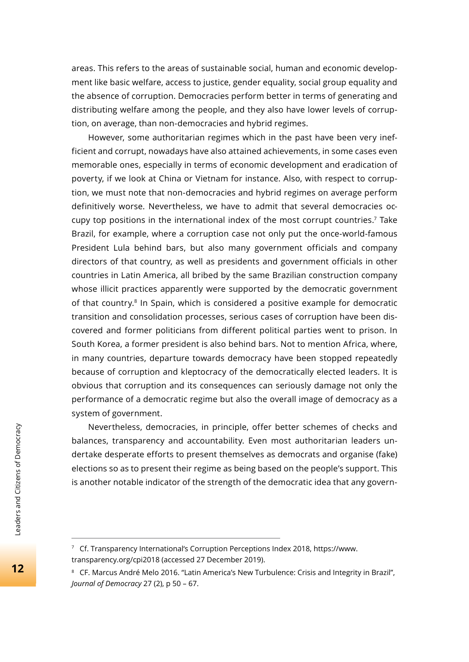areas. This refers to the areas of sustainable social, human and economic development like basic welfare, access to justice, gender equality, social group equality and the absence of corruption. Democracies perform better in terms of generating and distributing welfare among the people, and they also have lower levels of corruption, on average, than non-democracies and hybrid regimes.

However, some authoritarian regimes which in the past have been very inefficient and corrupt, nowadays have also attained achievements, in some cases even memorable ones, especially in terms of economic development and eradication of poverty, if we look at China or Vietnam for instance. Also, with respect to corruption, we must note that non-democracies and hybrid regimes on average perform definitively worse. Nevertheless, we have to admit that several democracies occupy top positions in the international index of the most corrupt countries.<sup>7</sup> Take Brazil, for example, where a corruption case not only put the once-world-famous President Lula behind bars, but also many government officials and company directors of that country, as well as presidents and government officials in other countries in Latin America, all bribed by the same Brazilian construction company whose illicit practices apparently were supported by the democratic government of that country.8 In Spain, which is considered a positive example for democratic transition and consolidation processes, serious cases of corruption have been discovered and former politicians from different political parties went to prison. In South Korea, a former president is also behind bars. Not to mention Africa, where, in many countries, departure towards democracy have been stopped repeatedly because of corruption and kleptocracy of the democratically elected leaders. It is obvious that corruption and its consequences can seriously damage not only the performance of a democratic regime but also the overall image of democracy as a system of government.

Nevertheless, democracies, in principle, offer better schemes of checks and balances, transparency and accountability. Even most authoritarian leaders undertake desperate efforts to present themselves as democrats and organise (fake) elections so as to present their regime as being based on the people's support. This is another notable indicator of the strength of the democratic idea that any govern-

<sup>7</sup> Cf. Transparency International's Corruption Perceptions Index 2018, https://www. transparency.org/cpi2018 (accessed 27 December 2019).

<sup>&</sup>lt;sup>8</sup> CF. Marcus André Melo 2016. "Latin America's New Turbulence: Crisis and Integrity in Brazil", *Journal of Democracy* 27 (2), p 50 – 67.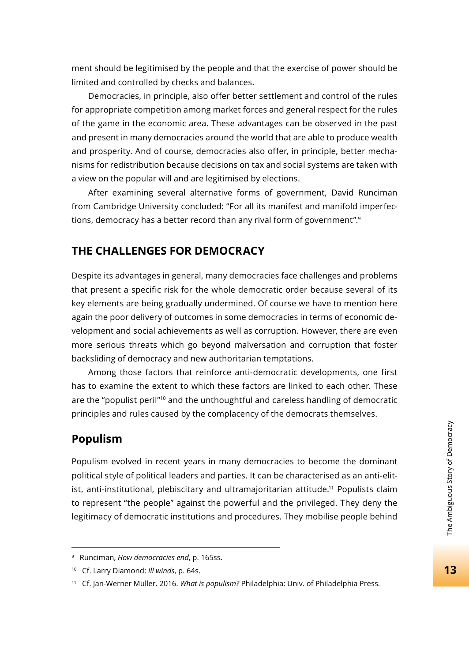ment should be legitimised by the people and that the exercise of power should be limited and controlled by checks and balances.

Democracies, in principle, also offer better settlement and control of the rules for appropriate competition among market forces and general respect for the rules of the game in the economic area. These advantages can be observed in the past and present in many democracies around the world that are able to produce wealth and prosperity. And of course, democracies also offer, in principle, better mechanisms for redistribution because decisions on tax and social systems are taken with a view on the popular will and are legitimised by elections.

After examining several alternative forms of government, David Runciman from Cambridge University concluded: "For all its manifest and manifold imperfections, democracy has a better record than any rival form of government".9

### **THE CHALLENGES FOR DEMOCRACY**

Despite its advantages in general, many democracies face challenges and problems that present a specific risk for the whole democratic order because several of its key elements are being gradually undermined. Of course we have to mention here again the poor delivery of outcomes in some democracies in terms of economic development and social achievements as well as corruption. However, there are even more serious threats which go beyond malversation and corruption that foster backsliding of democracy and new authoritarian temptations.

Among those factors that reinforce anti-democratic developments, one first has to examine the extent to which these factors are linked to each other. These are the "populist peril"10 and the unthoughtful and careless handling of democratic principles and rules caused by the complacency of the democrats themselves.

#### **Populism**

Populism evolved in recent years in many democracies to become the dominant political style of political leaders and parties. It can be characterised as an anti-elitist, anti-institutional, plebiscitary and ultramajoritarian attitude.<sup>11</sup> Populists claim to represent "the people" against the powerful and the privileged. They deny the legitimacy of democratic institutions and procedures. They mobilise people behind

<sup>9</sup> Runciman, *How democracies end*, p. 165ss.

<sup>10</sup> Cf. Larry Diamond: *Ill winds*, p. 64s.

<sup>11</sup> Cf. Jan-Werner Müller. 2016. *What is populism?* Philadelphia: Univ. of Philadelphia Press.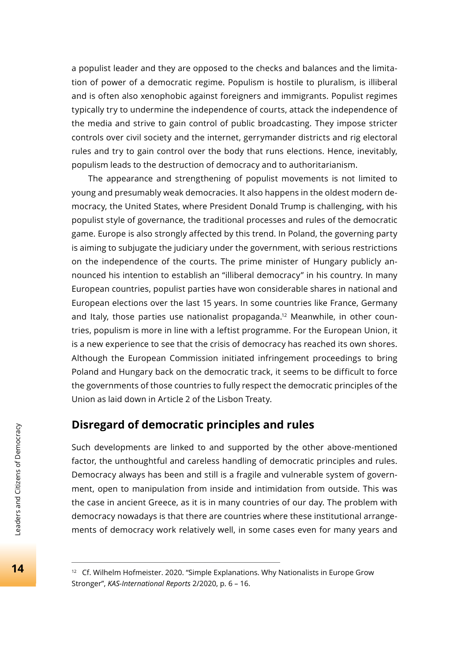a populist leader and they are opposed to the checks and balances and the limitation of power of a democratic regime. Populism is hostile to pluralism, is illiberal and is often also xenophobic against foreigners and immigrants. Populist regimes typically try to undermine the independence of courts, attack the independence of the media and strive to gain control of public broadcasting. They impose stricter controls over civil society and the internet, gerrymander districts and rig electoral rules and try to gain control over the body that runs elections. Hence, inevitably, populism leads to the destruction of democracy and to authoritarianism.

The appearance and strengthening of populist movements is not limited to young and presumably weak democracies. It also happens in the oldest modern democracy, the United States, where President Donald Trump is challenging, with his populist style of governance, the traditional processes and rules of the democratic game. Europe is also strongly affected by this trend. In Poland, the governing party is aiming to subjugate the judiciary under the government, with serious restrictions on the independence of the courts. The prime minister of Hungary publicly announced his intention to establish an "illiberal democracy" in his country. In many European countries, populist parties have won considerable shares in national and European elections over the last 15 years. In some countries like France, Germany and Italy, those parties use nationalist propaganda.<sup>12</sup> Meanwhile, in other countries, populism is more in line with a leftist programme. For the European Union, it is a new experience to see that the crisis of democracy has reached its own shores. Although the European Commission initiated infringement proceedings to bring Poland and Hungary back on the democratic track, it seems to be difficult to force the governments of those countries to fully respect the democratic principles of the Union as laid down in Article 2 of the Lisbon Treaty.

## **Disregard of democratic principles and rules**

Such developments are linked to and supported by the other above-mentioned factor, the unthoughtful and careless handling of democratic principles and rules. Democracy always has been and still is a fragile and vulnerable system of government, open to manipulation from inside and intimidation from outside. This was the case in ancient Greece, as it is in many countries of our day. The problem with democracy nowadays is that there are countries where these institutional arrangements of democracy work relatively well, in some cases even for many years and

<sup>&</sup>lt;sup>12</sup> Cf. Wilhelm Hofmeister. 2020. "Simple Explanations. Why Nationalists in Europe Grow Stronger", *KAS-International Reports* 2/2020, p. 6 – 16.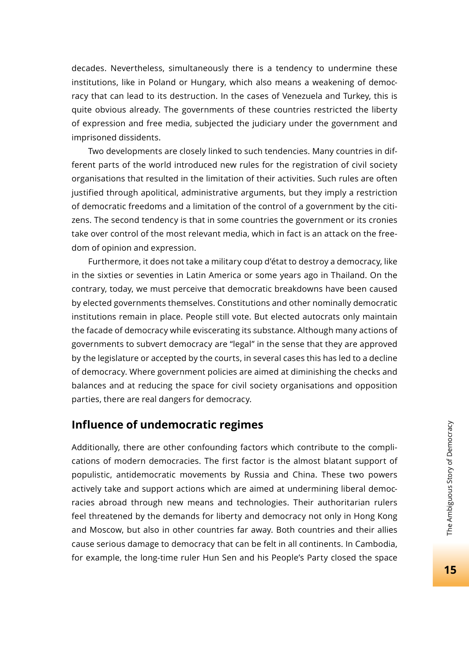decades. Nevertheless, simultaneously there is a tendency to undermine these institutions, like in Poland or Hungary, which also means a weakening of democracy that can lead to its destruction. In the cases of Venezuela and Turkey, this is quite obvious already. The governments of these countries restricted the liberty of expression and free media, subjected the judiciary under the government and imprisoned dissidents.

Two developments are closely linked to such tendencies. Many countries in different parts of the world introduced new rules for the registration of civil society organisations that resulted in the limitation of their activities. Such rules are often justified through apolitical, administrative arguments, but they imply a restriction of democratic freedoms and a limitation of the control of a government by the citizens. The second tendency is that in some countries the government or its cronies take over control of the most relevant media, which in fact is an attack on the freedom of opinion and expression.

Furthermore, it does not take a military coup d'état to destroy a democracy, like in the sixties or seventies in Latin America or some years ago in Thailand. On the contrary, today, we must perceive that democratic breakdowns have been caused by elected governments themselves. Constitutions and other nominally democratic institutions remain in place. People still vote. But elected autocrats only maintain the facade of democracy while eviscerating its substance. Although many actions of governments to subvert democracy are "legal" in the sense that they are approved by the legislature or accepted by the courts, in several cases this has led to a decline of democracy. Where government policies are aimed at diminishing the checks and balances and at reducing the space for civil society organisations and opposition parties, there are real dangers for democracy.

## **Influence of undemocratic regimes**

Additionally, there are other confounding factors which contribute to the complications of modern democracies. The first factor is the almost blatant support of populistic, antidemocratic movements by Russia and China. These two powers actively take and support actions which are aimed at undermining liberal democracies abroad through new means and technologies. Their authoritarian rulers feel threatened by the demands for liberty and democracy not only in Hong Kong and Moscow, but also in other countries far away. Both countries and their allies cause serious damage to democracy that can be felt in all continents. In Cambodia, for example, the long-time ruler Hun Sen and his People's Party closed the space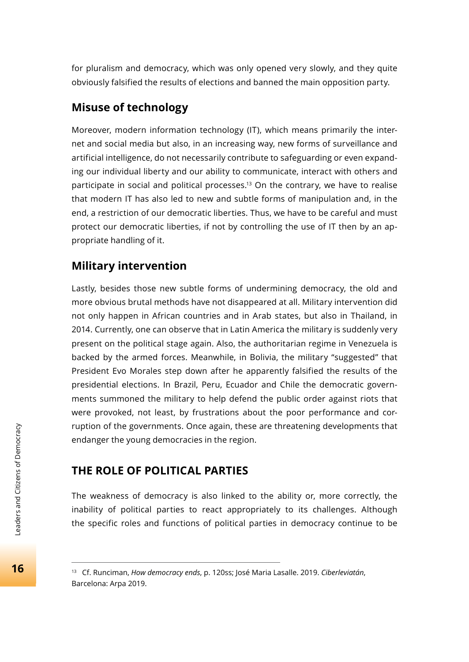for pluralism and democracy, which was only opened very slowly, and they quite obviously falsified the results of elections and banned the main opposition party.

# **Misuse of technology**

Moreover, modern information technology (IT), which means primarily the internet and social media but also, in an increasing way, new forms of surveillance and artificial intelligence, do not necessarily contribute to safeguarding or even expanding our individual liberty and our ability to communicate, interact with others and participate in social and political processes.<sup>13</sup> On the contrary, we have to realise that modern IT has also led to new and subtle forms of manipulation and, in the end, a restriction of our democratic liberties. Thus, we have to be careful and must protect our democratic liberties, if not by controlling the use of IT then by an appropriate handling of it.

## **Military intervention**

Lastly, besides those new subtle forms of undermining democracy, the old and more obvious brutal methods have not disappeared at all. Military intervention did not only happen in African countries and in Arab states, but also in Thailand, in 2014. Currently, one can observe that in Latin America the military is suddenly very present on the political stage again. Also, the authoritarian regime in Venezuela is backed by the armed forces. Meanwhile, in Bolivia, the military "suggested" that President Evo Morales step down after he apparently falsified the results of the presidential elections. In Brazil, Peru, Ecuador and Chile the democratic governments summoned the military to help defend the public order against riots that were provoked, not least, by frustrations about the poor performance and corruption of the governments. Once again, these are threatening developments that endanger the young democracies in the region.

# **THE ROLE OF POLITICAL PARTIES**

The weakness of democracy is also linked to the ability or, more correctly, the inability of political parties to react appropriately to its challenges. Although the specific roles and functions of political parties in democracy continue to be

<sup>13</sup> Cf. Runciman, *How democracy ends*, p. 120ss; José Maria Lasalle. 2019. *Ciberleviatán*, Barcelona: Arpa 2019.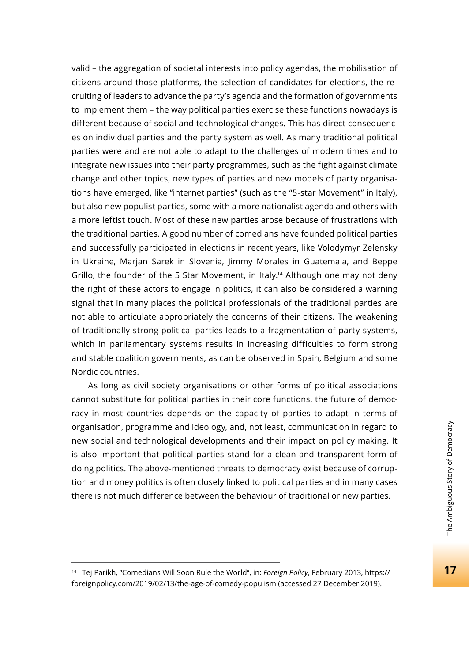valid – the aggregation of societal interests into policy agendas, the mobilisation of citizens around those platforms, the selection of candidates for elections, the recruiting of leaders to advance the party's agenda and the formation of governments to implement them – the way political parties exercise these functions nowadays is different because of social and technological changes. This has direct consequences on individual parties and the party system as well. As many traditional political parties were and are not able to adapt to the challenges of modern times and to integrate new issues into their party programmes, such as the fight against climate change and other topics, new types of parties and new models of party organisations have emerged, like "internet parties" (such as the "5-star Movement" in Italy), but also new populist parties, some with a more nationalist agenda and others with a more leftist touch. Most of these new parties arose because of frustrations with the traditional parties. A good number of comedians have founded political parties and successfully participated in elections in recent years, like Volodymyr Zelensky in Ukraine, Marjan Sarek in Slovenia, Jimmy Morales in Guatemala, and Beppe Grillo, the founder of the 5 Star Movement, in Italy.<sup>14</sup> Although one may not deny the right of these actors to engage in politics, it can also be considered a warning signal that in many places the political professionals of the traditional parties are not able to articulate appropriately the concerns of their citizens. The weakening of traditionally strong political parties leads to a fragmentation of party systems, which in parliamentary systems results in increasing difficulties to form strong and stable coalition governments, as can be observed in Spain, Belgium and some Nordic countries.

As long as civil society organisations or other forms of political associations cannot substitute for political parties in their core functions, the future of democracy in most countries depends on the capacity of parties to adapt in terms of organisation, programme and ideology, and, not least, communication in regard to new social and technological developments and their impact on policy making. It is also important that political parties stand for a clean and transparent form of doing politics. The above-mentioned threats to democracy exist because of corruption and money politics is often closely linked to political parties and in many cases there is not much difference between the behaviour of traditional or new parties.

<sup>14</sup> Tej Parikh, "Comedians Will Soon Rule the World", in: *Foreign Policy*, February 2013, https:// foreignpolicy.com/2019/02/13/the-age-of-comedy-populism (accessed 27 December 2019).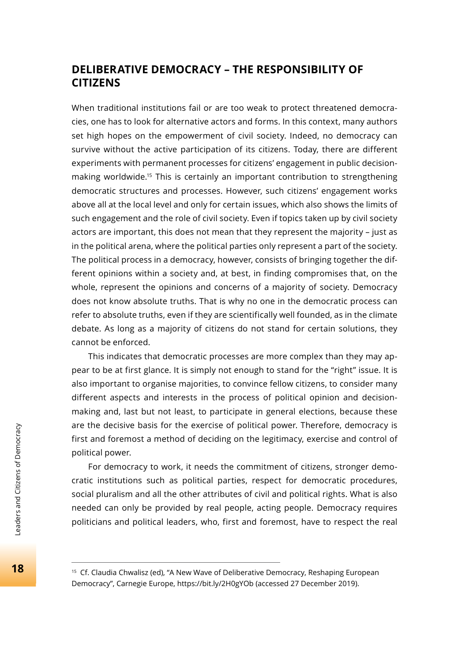# **DELIBERATIVE DEMOCRACY – THE RESPONSIBILITY OF CITIZENS**

When traditional institutions fail or are too weak to protect threatened democracies, one has to look for alternative actors and forms. In this context, many authors set high hopes on the empowerment of civil society. Indeed, no democracy can survive without the active participation of its citizens. Today, there are different experiments with permanent processes for citizens' engagement in public decisionmaking worldwide.15 This is certainly an important contribution to strengthening democratic structures and processes. However, such citizens' engagement works above all at the local level and only for certain issues, which also shows the limits of such engagement and the role of civil society. Even if topics taken up by civil society actors are important, this does not mean that they represent the majority – just as in the political arena, where the political parties only represent a part of the society. The political process in a democracy, however, consists of bringing together the different opinions within a society and, at best, in finding compromises that, on the whole, represent the opinions and concerns of a majority of society. Democracy does not know absolute truths. That is why no one in the democratic process can refer to absolute truths, even if they are scientifically well founded, as in the climate debate. As long as a majority of citizens do not stand for certain solutions, they cannot be enforced.

This indicates that democratic processes are more complex than they may appear to be at first glance. It is simply not enough to stand for the "right" issue. It is also important to organise majorities, to convince fellow citizens, to consider many different aspects and interests in the process of political opinion and decisionmaking and, last but not least, to participate in general elections, because these are the decisive basis for the exercise of political power. Therefore, democracy is first and foremost a method of deciding on the legitimacy, exercise and control of political power.

For democracy to work, it needs the commitment of citizens, stronger democratic institutions such as political parties, respect for democratic procedures, social pluralism and all the other attributes of civil and political rights. What is also needed can only be provided by real people, acting people. Democracy requires politicians and political leaders, who, first and foremost, have to respect the real

<sup>&</sup>lt;sup>15</sup> Cf. Claudia Chwalisz (ed), "A New Wave of Deliberative Democracy, Reshaping European Democracy", Carnegie Europe, https://bit.ly/2H0gYOb (accessed 27 December 2019).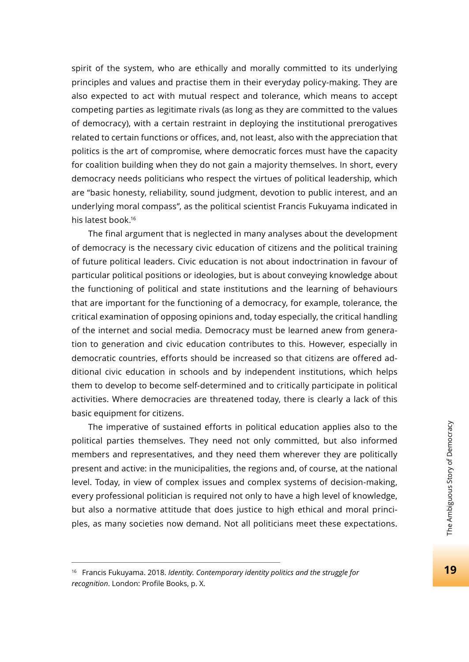spirit of the system, who are ethically and morally committed to its underlying principles and values and practise them in their everyday policy-making. They are also expected to act with mutual respect and tolerance, which means to accept competing parties as legitimate rivals (as long as they are committed to the values of democracy), with a certain restraint in deploying the institutional prerogatives related to certain functions or offices, and, not least, also with the appreciation that politics is the art of compromise, where democratic forces must have the capacity for coalition building when they do not gain a majority themselves. In short, every democracy needs politicians who respect the virtues of political leadership, which are "basic honesty, reliability, sound judgment, devotion to public interest, and an underlying moral compass", as the political scientist Francis Fukuyama indicated in his latest book.16

The final argument that is neglected in many analyses about the development of democracy is the necessary civic education of citizens and the political training of future political leaders. Civic education is not about indoctrination in favour of particular political positions or ideologies, but is about conveying knowledge about the functioning of political and state institutions and the learning of behaviours that are important for the functioning of a democracy, for example, tolerance, the critical examination of opposing opinions and, today especially, the critical handling of the internet and social media. Democracy must be learned anew from generation to generation and civic education contributes to this. However, especially in democratic countries, efforts should be increased so that citizens are offered additional civic education in schools and by independent institutions, which helps them to develop to become self-determined and to critically participate in political activities. Where democracies are threatened today, there is clearly a lack of this basic equipment for citizens.

The imperative of sustained efforts in political education applies also to the political parties themselves. They need not only committed, but also informed members and representatives, and they need them wherever they are politically present and active: in the municipalities, the regions and, of course, at the national level. Today, in view of complex issues and complex systems of decision-making, every professional politician is required not only to have a high level of knowledge, but also a normative attitude that does justice to high ethical and moral principles, as many societies now demand. Not all politicians meet these expectations.

<sup>16</sup> Francis Fukuyama. 2018. *Identity. Contemporary identity politics and the struggle for*  recognition. London: Profile Books, p. X.